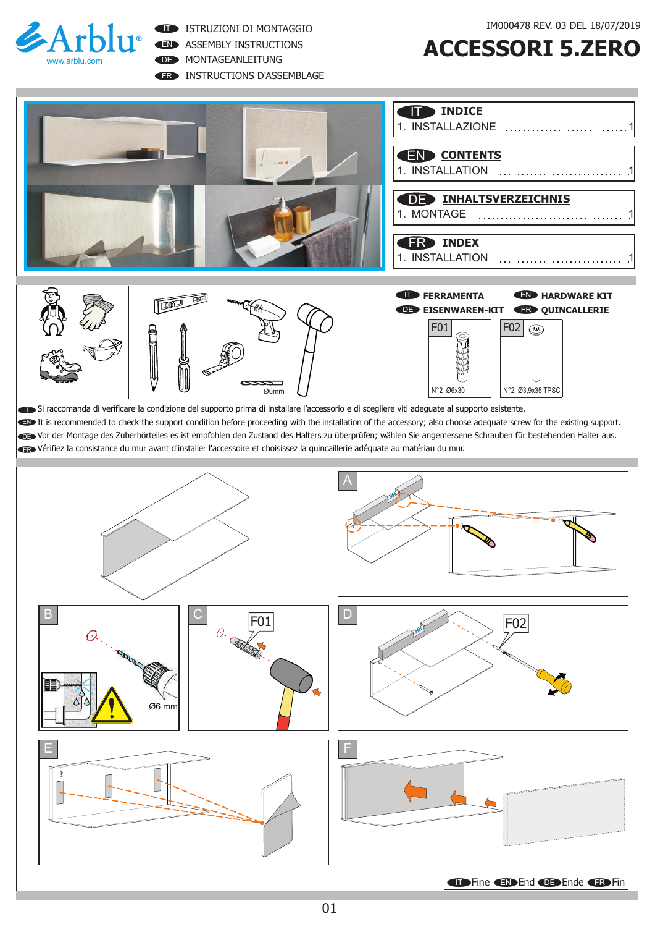

EN ASSEMBLY INSTRUCTIONS

DE MONTAGEANLEITUNG

ER INSTRUCTIONS D'ASSEMBLAGE

## **ACCESSORI 5.ZERO**